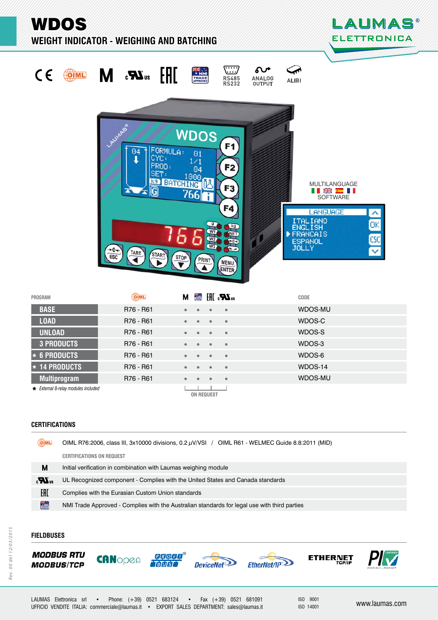WDOS

**WEIGHT INDICATOR - WEIGHING AND BATCHING** 

 $+0+$ 

TARE

**STAR** 



ōK

ĒБC



|         |                                     | CUL         | 310P                   | <b>PRINT</b>      | <b>MENU</b><br><b>ENTER</b> |         |
|---------|-------------------------------------|-------------|------------------------|-------------------|-----------------------------|---------|
| PROGRAM |                                     | <b>OIML</b> | М                      |                   | <b>■ HI 、又</b> us           | CODE    |
|         | <b>BASE</b>                         | R76 - R61   |                        |                   | $\bullet$                   | WDOS-MU |
|         | <b>LOAD</b>                         | R76 - R61   | $\bullet$              | ٠                 | $\bullet$                   | WDOS-C  |
|         | <b>UNLOAD</b>                       | R76 - R61   | $\bullet$              | ٠                 | $\bullet$                   | WDOS-S  |
|         | <b>3 PRODUCTS</b>                   | R76 - R61   | $\bullet$<br>$\bullet$ | ۰                 | $\bullet$                   | WDOS-3  |
|         | $\star$ 6 PRODUCTS                  | R76 - R61   |                        |                   | $\bullet$                   | WDOS-6  |
|         | $\star$ 14 PRODUCTS                 | R76 - R61   |                        |                   | $\bullet$                   | WDOS-14 |
|         | <b>Multiprogram</b>                 | R76 - R61   |                        |                   | $\bullet$                   | WDOS-MU |
|         | * External 8-relay modules included |             |                        | <b>ON REQUEST</b> |                             |         |

 $\sqrt{g}$ 

 $Q_{12}$ 

W3

**Kg** n z  $C = C$ 

 $\sqrt{2}$ 

**ONED** 

 $\bullet$  203

# **CERTIFICATIONS ERTIFICATIONS**

| OIML         | OIML R76:2006, class III, 3x10000 divisions, 0.2 µV/VSI / OIML R61 - WELMEC Guide 8.8:2011 (MID) |  |  |
|--------------|--------------------------------------------------------------------------------------------------|--|--|
|              | <b>CERTIFICATIONS ON REQUEST</b>                                                                 |  |  |
| М            | Initial verification in combination with Laumas weighing module                                  |  |  |
| $\mathbf{r}$ | UL Recognized component - Complies with the United States and Canada standards                   |  |  |
| EAC          | Complies with the Eurasian Custom Union standards                                                |  |  |
| <b>TANK</b>  | NMI Trade Approved - Complies with the Australian standards for legal use with third parties     |  |  |

# **FIELDBUSES IELDBUSES**











ISO 9001

ITALIANO<br>ENGLISH<br>FRANCAIS

ESPANOL

Þ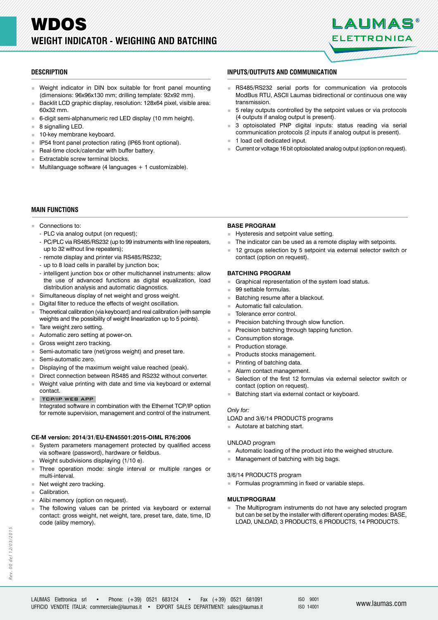

- Weight indicator in DIN box suitable for front panel mounting (dimensions: 96x96x130 mm; drilling template: 92x92 mm).
- Backlit LCD graphic display, resolution: 128x64 pixel, visible area: 60x32 mm.
- 6-digit semi-alphanumeric red LED display (10 mm height).
- $8$  signalling LED.
- 10-key membrane keyboard.<br>IP54 front panel protection ra
- IP54 front panel protection rating (IP65 front optional).
- Real-time clock/calendar with buffer battery.
- Extractable screw terminal blocks.
- Multilanguage software (4 languages + 1 customizable).

## **DESCRIPTION ESCRIPTIONINPUTS/OUTPUTS AND COMMUNICATION NPUTS/OUTPUTS AND**

- RS485/RS232 serial ports for communication via protocols ModBus RTU, ASCII Laumas bidirectional or continuous one way transmission.
- 5 relay outputs controlled by the setpoint values or via protocols (4 outputs if analog output is present).
- 3 optoisolated PNP digital inputs: status reading via serial communication protocols (2 inputs if analog output is present).
- 1 load cell dedicated input.
- Current or voltage 16 bit optoisolated analog output (option on request).

# **MAIN FUNCTIONS**

- Connections to:
	- PLC via analog output (on request);
	- PC/PLC via RS485/RS232 (up to 99 instruments with line repeaters, up to 32 without line repeaters);
	- remote display and printer via RS485/RS232;
	- up to 8 load cells in parallel by junction box;
	- intelligent junction box or other multichannel instruments: allow the use of advanced functions as digital equalization, load distribution analysis and automatic diagnostics.
- Simultaneous display of net weight and gross weight.
- Digital filter to reduce the effects of weight oscillation.
- Theoretical calibration (via keyboard) and real calibration (with sample weights and the possibility of weight linearization up to 5 points).
- Tare weight zero setting.
- Automatic zero setting at power-on.
- Gross weight zero tracking.<br>
Semi-automatic tare (net/grown)
- Semi-automatic tare (net/gross weight) and preset tare.
- Semi-automatic zero.
- Displaying of the maximum weight value reached (peak).
- Direct connection between RS485 and RS232 without converter.
- Weight value printing with date and time via keyboard or external contact.
- TCP/IP WEB APP
- Integrated software in combination with the Ethernet TCP/IP option for remote supervision, management and control of the instrument.

#### **CE-M version: 2014/31/EU-EN45501:2015-OIML R76:2006**

- System parameters management protected by qualified access via software (password), hardware or fieldbus.
- Weight subdivisions displaying (1/10 e).
- Three operation mode: single interval or multiple ranges or multi-interval.
- Net weight zero tracking.
- Calibration
- Alibi memory (option on request).
- The following values can be printed via keyboard or external contact: gross weight, net weight, tare, preset tare, date, time, ID code (aliby memory).

### **BASE PROGRAM**

- Hysteresis and setpoint value setting.
- The indicator can be used as a remote display with setpoints.
- 12 groups selection by 5 setpoint via external selector switch or contact (option on request).

#### **BATCHING PROGRAM**

- Graphical representation of the system load status.
- 99 settable formulas.
- **Batching resume after a blackout.**
- Automatic fall calculation.
- Tolerance error control.
- Precision batching through slow function.
- Precision batching through tapping function.
- Consumption storage.
- **Production storage.**
- Products stocks management.
- **Printing of batching data.**
- Alarm contact management.
- Selection of the first 12 formulas via external selector switch or contact (option on request).
- **Batching start via external contact or keyboard.**

#### *Only for:*

LOAD and 3/6/14 PRODUCTS programs

Autotare at batching start.

#### UNLOAD program

- Automatic loading of the product into the weighed structure.
- **Management of batching with big bags.**

### 3/6/14 PRODUCTS program

Formulas programming in fixed or variable steps.

### **MULTIPROGRAM**

The Multiprogram instruments do not have any selected program but can be set by the installer with different operating modes: BASE, LOAD, UNLOAD, 3 PRODUCTS, 6 PRODUCTS, 14 PRODUCTS.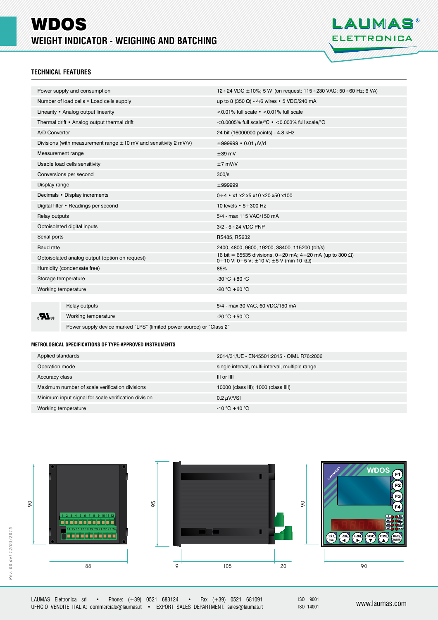# WDOS **WEIGHT INDICATOR - WEIGHING AND BATCHING**



# **TECHNICAL FEATURES**

|                                  | Power supply and consumption                                          | 12÷24 VDC ±10%; 5 W (on request: 115÷230 VAC; 50÷60 Hz; 6 VA)                                                        |  |  |
|----------------------------------|-----------------------------------------------------------------------|----------------------------------------------------------------------------------------------------------------------|--|--|
|                                  | Number of load cells • Load cells supply                              | up to 8 (350 $\Omega$ ) - 4/6 wires • 5 VDC/240 mA                                                                   |  |  |
|                                  | Linearity • Analog output linearity                                   | <0.01% full scale $\cdot$ <0.01% full scale                                                                          |  |  |
|                                  | Thermal drift • Analog output thermal drift                           | <0.0005% full scale/ ${}^{\circ}$ C $\cdot$ <0.003% full scale/ ${}^{\circ}$ C                                       |  |  |
| A/D Converter                    |                                                                       | 24 bit (16000000 points) - 4.8 kHz                                                                                   |  |  |
|                                  | Divisions (with measurement range $\pm 10$ mV and sensitivity 2 mV/V) | $\pm 999999 \cdot 0.01 \mu V/d$                                                                                      |  |  |
| Measurement range                |                                                                       | $±39$ mV                                                                                                             |  |  |
|                                  | Usable load cells sensitivity                                         | $±7$ mV/V                                                                                                            |  |  |
|                                  | Conversions per second                                                | 300/s                                                                                                                |  |  |
| Display range                    |                                                                       | ±999999                                                                                                              |  |  |
|                                  | Decimals • Display increments                                         | $0 \div 4$ • x1 x2 x5 x10 x20 x50 x100                                                                               |  |  |
|                                  | Digital filter • Readings per second                                  | 10 levels $\cdot$ 5 $\div$ 300 Hz                                                                                    |  |  |
| Relay outputs                    |                                                                       | 5/4 - max 115 VAC/150 mA                                                                                             |  |  |
| Optoisolated digital inputs      |                                                                       | $3/2 - 5 \div 24$ VDC PNP                                                                                            |  |  |
| Serial ports                     |                                                                       | RS485, RS232                                                                                                         |  |  |
| <b>Baud</b> rate                 |                                                                       | 2400, 4800, 9600, 19200, 38400, 115200 (bit/s)                                                                       |  |  |
|                                  | Optoisolated analog output (option on request)                        | 16 bit = 65535 divisions. 0 ÷ 20 mA; 4 ÷ 20 mA (up to 300 Ω)<br>0 ÷ 10 V; 0 ÷ 5 V; $\pm$ 10 V; $\pm$ 5 V (min 10 kΩ) |  |  |
|                                  | Humidity (condensate free)                                            | 85%                                                                                                                  |  |  |
|                                  | Storage temperature                                                   | -30 °C + 80 °C                                                                                                       |  |  |
| Working temperature              |                                                                       | -20 °C +60 °C                                                                                                        |  |  |
|                                  |                                                                       |                                                                                                                      |  |  |
|                                  | Relay outputs                                                         | 5/4 - max 30 VAC, 60 VDC/150 mA                                                                                      |  |  |
| $_{\rm c}$ Z $_{\rm U_{\rm us}}$ | Working temperature                                                   | -20 °C +50 °C                                                                                                        |  |  |
|                                  | Power supply device marked "LPS" (limited power source) or "Class 2"  |                                                                                                                      |  |  |

#### **METROLOGICAL SPECIFICATIONS OF TYPE-APPROVED INSTRUMENTS ETROLOGICAL SPECIFICATIONS OF TYPE-APPROVED**

| Applied standards                                    | 2014/31/UE - EN45501:2015 - OIML R76:2006       |
|------------------------------------------------------|-------------------------------------------------|
| Operation mode                                       | single interval, multi-interval, multiple range |
| Accuracy class                                       | III or IIII                                     |
| Maximum number of scale verification divisions       | 10000 (class III); 1000 (class IIII)            |
| Minimum input signal for scale verification division | 0.2 $\mu$ V/VSI                                 |
| Working temperature                                  | $-10\degree C + 40\degree C$                    |

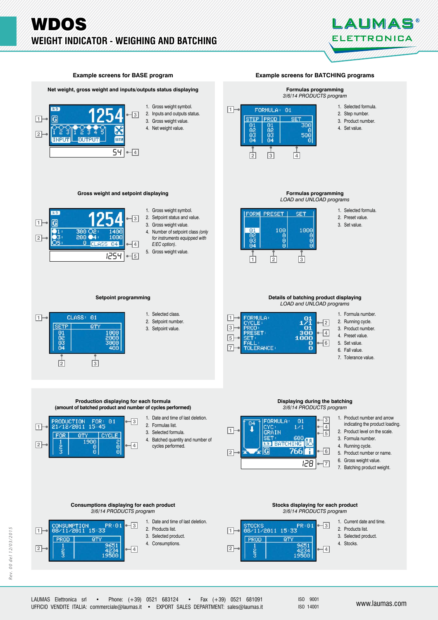



ISO 9001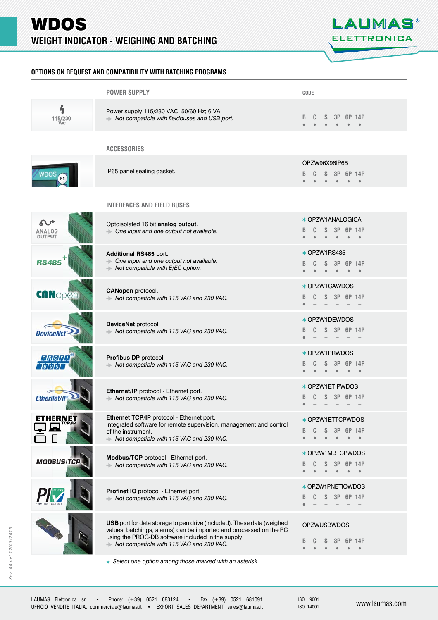

# **OPTIONS ON REQUEST AND COMPATIBILITY WITH BATCHING PROGRAMS PTIONS ON REQUEST AND COMPATIBILITY WITH BATCHING PROGRAMS**

|                         | <b>POWER SUPPLY</b>                                                                                                                                                                                                                            | CODE                                                                                          |
|-------------------------|------------------------------------------------------------------------------------------------------------------------------------------------------------------------------------------------------------------------------------------------|-----------------------------------------------------------------------------------------------|
| 4<br>115/230            | Power supply 115/230 VAC; 50/60 Hz; 6 VA.<br>Not compatible with fieldbuses and USB port.                                                                                                                                                      | 3P<br>6P 14P                                                                                  |
|                         | <b>ACCESSORIES</b>                                                                                                                                                                                                                             |                                                                                               |
| WDOS                    | IP65 panel sealing gasket.                                                                                                                                                                                                                     | OPZW96X96IP65<br>3P<br>6P 14P                                                                 |
|                         | <b>INTERFACES AND FIELD BUSES</b>                                                                                                                                                                                                              |                                                                                               |
| ANALOG<br><b>OUTPUT</b> | Optoisolated 16 bit analog output.<br>A One input and one output not available.                                                                                                                                                                | <b>★ OPZW1ANALOGICA</b><br>3P 6P 14P<br>$\bullet$<br>$\bullet$                                |
| <b>RS485</b>            | Additional RS485 port.<br>A One input and one output not available.<br>$\rightarrow$ Not compatible with E/EC option.                                                                                                                          | * OPZW1RS485<br>S.<br>3P<br>6P 14P                                                            |
| <b>CANopen</b>          | CANopen protocol.<br>Not compatible with 115 VAC and 230 VAC.                                                                                                                                                                                  | <b>★ OPZW1CAWDOS</b><br>S 3P 6P 14P                                                           |
| <b>DeviceNet</b>        | DeviceNet protocol.<br>Not compatible with 115 VAC and 230 VAC.                                                                                                                                                                                | <b>★ OPZW1DEWDOS</b><br>S 3P 6P 14P                                                           |
| P[R[O]F]                | Profibus DP protocol.<br>Not compatible with 115 VAC and 230 VAC.                                                                                                                                                                              | <b>★ OPZW1PRWDOS</b><br>S<br>3P<br>6P 14P<br>$\bullet$<br>$\bullet$<br>$\bullet$<br>$\bullet$ |
| <b>EtherNet/IF</b>      | Ethernet/IP protocol - Ethernet port.<br>Not compatible with 115 VAC and 230 VAC.                                                                                                                                                              | <b>★ OPZW1ETIPWDOS</b><br>6P 14P                                                              |
| ETHERNET                | Ethernet TCP/IP protocol - Ethernet port.<br>Integrated software for remote supervision, management and control<br>of the instrument.<br>Not compatible with 115 VAC and 230 VAC.                                                              | <b>★ OPZW1ETTCPWDOS</b><br>6P 14P<br>3Р<br>В<br>$\bullet$                                     |
| MODBUS/TC               | Modbus/TCP protocol - Ethernet port.<br>Not compatible with 115 VAC and 230 VAC.                                                                                                                                                               | <b>★ OPZW1MBTCPWDOS</b><br>3P<br>6P 14P                                                       |
|                         | Profinet IO protocol - Ethernet port.<br>Not compatible with 115 VAC and 230 VAC.                                                                                                                                                              | * OPZW1PNETIOWDOS<br>3P 6P 14P<br>S.                                                          |
|                         | USB port for data storage to pen drive (included). These data (weighed<br>values, batchings, alarms) can be imported and processed on the PC<br>using the PROG-DB software included in the supply.<br>Not compatible with 115 VAC and 230 VAC. | <b>OPZWUSBWDOS</b><br>14P                                                                     |
|                         | * Select one option among those marked with an asterisk.                                                                                                                                                                                       |                                                                                               |

ISO 9001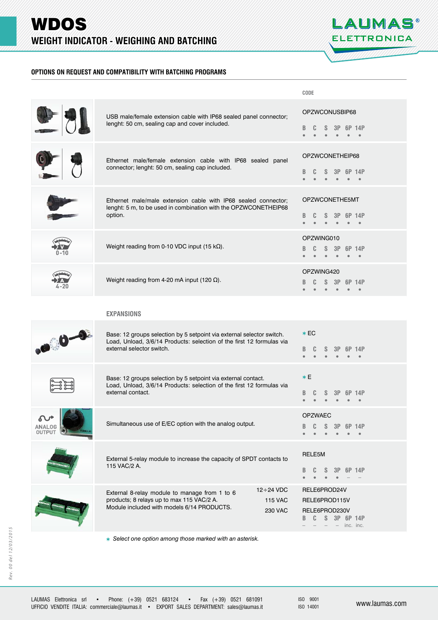

# **OPTIONS ON REQUEST AND COMPATIBILITY WITH BATCHING PROGRAMS PTIONS ON REQUEST AND COMPATIBILITY WITH BATCHING PROGRAMS**

|         |                                                                                                                                                                                                  | CODE                                                                                     |
|---------|--------------------------------------------------------------------------------------------------------------------------------------------------------------------------------------------------|------------------------------------------------------------------------------------------|
|         | USB male/female extension cable with IP68 sealed panel connector;<br>lenght: 50 cm, sealing cap and cover included.                                                                              | OPZWCONUSBIP68<br>6P 14P<br>В                                                            |
|         | Ethernet male/female extension cable with IP68 sealed panel<br>connector; lenght: 50 cm, sealing cap included.                                                                                   | OPZWCONETHEIP68<br>6P 14P                                                                |
|         | Ethernet male/male extension cable with IP68 sealed connector;<br>lenght: 5 m, to be used in combination with the OPZWCONETHEIP68<br>option.                                                     | OPZWCONETHE5MT<br>6P 14P                                                                 |
|         | Weight reading from 0-10 VDC input (15 $k\Omega$ ).                                                                                                                                              | OPZWING010<br>S<br>3P<br>6P 14P                                                          |
|         | Weight reading from 4-20 mA input (120 $\Omega$ ).                                                                                                                                               | OPZWING420<br>3P<br>6P 14P                                                               |
|         | <b>EXPANSIONS</b>                                                                                                                                                                                |                                                                                          |
| $0 - 0$ | Base: 12 groups selection by 5 setpoint via external selector switch.<br>Load, Unload, 3/6/14 Products: selection of the first 12 formulas via<br>external selector switch.                      | $*EC$<br>14P<br>В                                                                        |
|         | Base: 12 groups selection by 5 setpoint via external contact.<br>Load, Unload, 3/6/14 Products: selection of the first 12 formulas via<br>external contact.                                      | $*E$<br>14P<br>в                                                                         |
| .OG     | Simultaneous use of E/EC option with the analog output.                                                                                                                                          | <b>OPZWAEC</b><br>в<br>14P                                                               |
|         | External 5-relay module to increase the capacity of SPDT contacts to<br>115 VAC/2 A.                                                                                                             | RELE5M<br>3P 6P 14P<br>в                                                                 |
|         | $12 \div 24$ VDC<br>External 8-relay module to manage from 1 to 6<br>products; 8 relays up to max 115 VAC/2 A.<br><b>115 VAC</b><br>Module included with models 6/14 PRODUCTS.<br><b>230 VAC</b> | RELE6PROD24V<br>RELE6PROD115V<br>RELE6PROD230V<br>S 3P 6P 14P<br>C<br>в<br>$-$ inc. inc. |

 *Select one option among those marked with an asterisk.*

ISO 9001